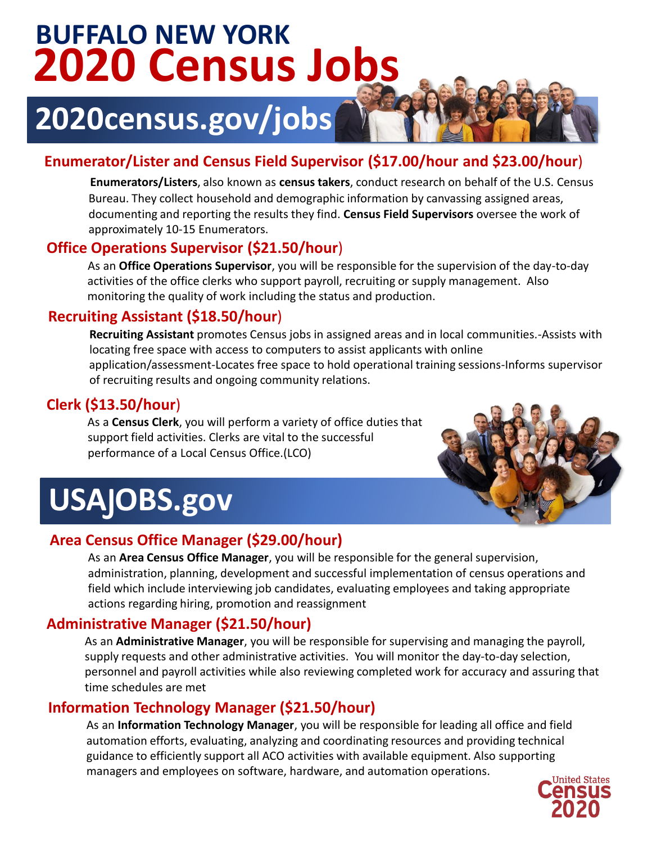## **2020 Census Jobs BUFFALO NEW YORK**

## **2020census.gov/jobs**

## **Enumerator/Lister and Census Field Supervisor (\$17.00/hour and \$23.00/hour**)

**Enumerators/Listers**, also known as **census takers**, conduct research on behalf of the U.S. Census Bureau. They collect household and demographic information by canvassing assigned areas, documenting and reporting the results they find. **Census Field Supervisors** oversee the work of approximately 10-15 Enumerators.

### **Office Operations Supervisor (\$21.50/hour**)

As an **Office Operations Supervisor**, you will be responsible for the supervision of the day-to-day activities of the office clerks who support payroll, recruiting or supply management. Also monitoring the quality of work including the status and production.

### **Recruiting Assistant (\$18.50/hour**)

**Recruiting Assistant** promotes Census jobs in assigned areas and in local communities.-Assists with locating free space with access to computers to assist applicants with online application/assessment-Locates free space to hold operational training sessions-Informs supervisor of recruiting results and ongoing community relations.

## **Clerk (\$13.50/hour**)

As a **Census Clerk**, you will perform a variety of office duties that support field activities. Clerks are vital to the successful performance of a Local Census Office.(LCO)



# USAJOBS.gov

## **Area Census Office Manager (\$29.00/hour)**

As an **Area Census Office Manager**, you will be responsible for the general supervision, administration, planning, development and successful implementation of census operations and field which include interviewing job candidates, evaluating employees and taking appropriate actions regarding hiring, promotion and reassignment

## **Administrative Manager (\$21.50/hour)**

As an **Administrative Manager**, you will be responsible for supervising and managing the payroll, supply requests and other administrative activities. You will monitor the day-to-day selection, personnel and payroll activities while also reviewing completed work for accuracy and assuring that time schedules are met

## **Information Technology Manager (\$21.50/hour)**

As an **Information Technology Manager**, you will be responsible for leading all office and field automation efforts, evaluating, analyzing and coordinating resources and providing technical guidance to efficiently support all ACO activities with available equipment. Also supporting managers and employees on software, hardware, and automation operations.